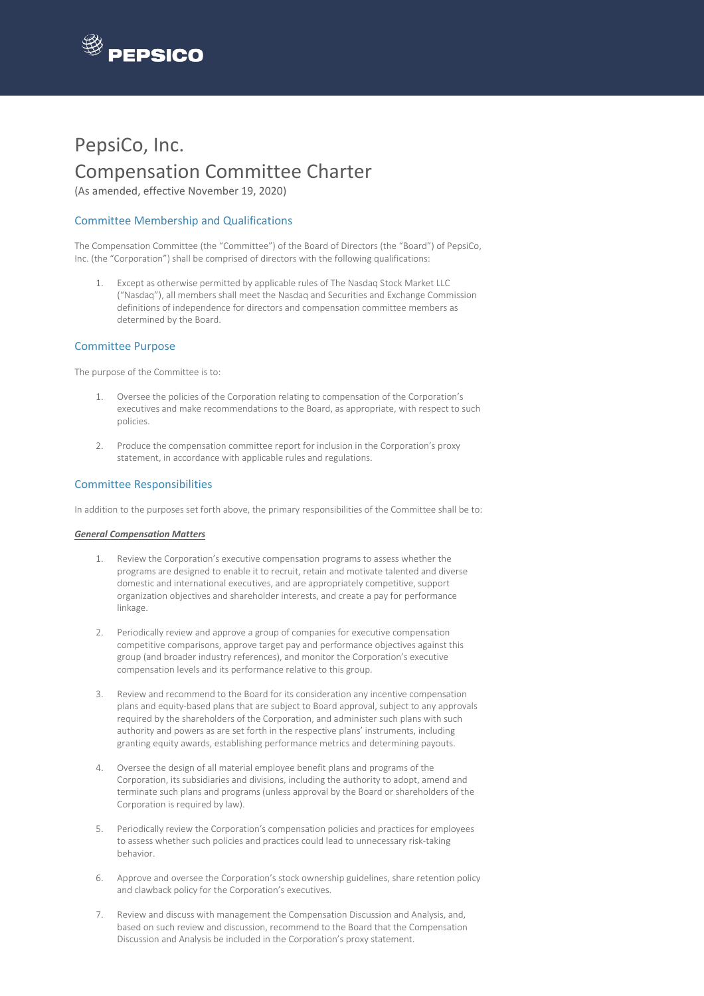

# PepsiCo, Inc. Compensation Committee Charter

(As amended, effective November 19, 2020)

## Committee Membership and Qualifications

The Compensation Committee (the "Committee") of the Board of Directors (the "Board") of PepsiCo, Inc. (the "Corporation") shall be comprised of directors with the following qualifications:

1. Except as otherwise permitted by applicable rules of The Nasdaq Stock Market LLC ("Nasdaq"), all members shall meet the Nasdaq and Securities and Exchange Commission definitions of independence for directors and compensation committee members as determined by the Board.

### Committee Purpose

The purpose of the Committee is to:

- 1. Oversee the policies of the Corporation relating to compensation of the Corporation's executives and make recommendations to the Board, as appropriate, with respect to such policies.
- 2. Produce the compensation committee report for inclusion in the Corporation's proxy statement, in accordance with applicable rules and regulations.

## Committee Responsibilities

In addition to the purposes set forth above, the primary responsibilities of the Committee shall be to:

#### *General Compensation Matters*

- 1. Review the Corporation's executive compensation programs to assess whether the programs are designed to enable it to recruit, retain and motivate talented and diverse domestic and international executives, and are appropriately competitive, support organization objectives and shareholder interests, and create a pay for performance linkage.
- 2. Periodically review and approve a group of companies for executive compensation competitive comparisons, approve target pay and performance objectives against this group (and broader industry references), and monitor the Corporation's executive compensation levels and its performance relative to this group.
- 3. Review and recommend to the Board for its consideration any incentive compensation plans and equity-based plans that are subject to Board approval, subject to any approvals required by the shareholders of the Corporation, and administer such plans with such authority and powers as are set forth in the respective plans' instruments, including granting equity awards, establishing performance metrics and determining payouts.
- 4. Oversee the design of all material employee benefit plans and programs of the Corporation, its subsidiaries and divisions, including the authority to adopt, amend and terminate such plans and programs (unless approval by the Board or shareholders of the Corporation is required by law).
- 5. Periodically review the Corporation's compensation policies and practices for employees to assess whether such policies and practices could lead to unnecessary risk-taking behavior.
- 6. Approve and oversee the Corporation's stock ownership guidelines, share retention policy and clawback policy for the Corporation's executives.
- 7. Review and discuss with management the Compensation Discussion and Analysis, and, based on such review and discussion, recommend to the Board that the Compensation Discussion and Analysis be included in the Corporation's proxy statement.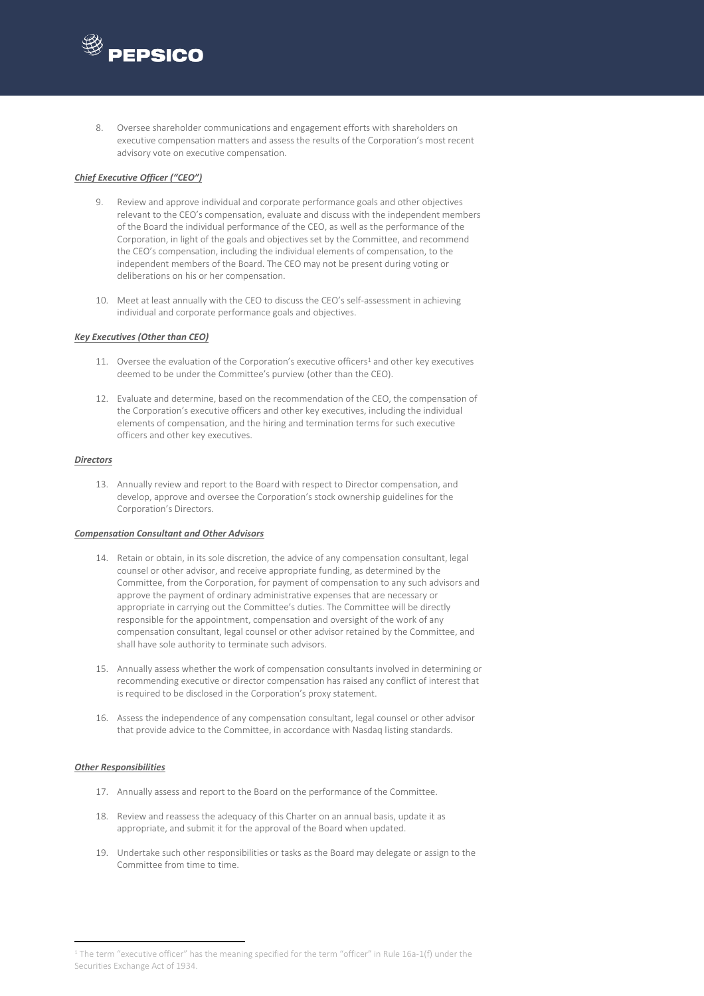

8. Oversee shareholder communications and engagement efforts with shareholders on executive compensation matters and assess the results of the Corporation's most recent advisory vote on executive compensation.

#### *Chief Executive Officer ("CEO")*

- 9. Review and approve individual and corporate performance goals and other objectives relevant to the CEO's compensation, evaluate and discuss with the independent members of the Board the individual performance of the CEO, as well as the performance of the Corporation, in light of the goals and objectives set by the Committee, and recommend the CEO's compensation, including the individual elements of compensation, to the independent members of the Board. The CEO may not be present during voting or deliberations on his or her compensation.
- 10. Meet at least annually with the CEO to discuss the CEO's self-assessment in achieving individual and corporate performance goals and objectives.

#### *Key Executives (Other than CEO)*

- 11. Oversee the evaluation of the Corporation's executive officers<sup>1</sup> and other key executives deemed to be under the Committee's purview (other than the CEO).
- 12. Evaluate and determine, based on the recommendation of the CEO, the compensation of the Corporation's executive officers and other key executives, including the individual elements of compensation, and the hiring and termination terms for such executive officers and other key executives.

#### *Directors*

13. Annually review and report to the Board with respect to Director compensation, and develop, approve and oversee the Corporation's stock ownership guidelines for the Corporation's Directors.

#### *Compensation Consultant and Other Advisors*

- 14. Retain or obtain, in its sole discretion, the advice of any compensation consultant, legal counsel or other advisor, and receive appropriate funding, as determined by the Committee, from the Corporation, for payment of compensation to any such advisors and approve the payment of ordinary administrative expenses that are necessary or appropriate in carrying out the Committee's duties. The Committee will be directly responsible for the appointment, compensation and oversight of the work of any compensation consultant, legal counsel or other advisor retained by the Committee, and shall have sole authority to terminate such advisors.
- 15. Annually assess whether the work of compensation consultants involved in determining or recommending executive or director compensation has raised any conflict of interest that is required to be disclosed in the Corporation's proxy statement.
- 16. Assess the independence of any compensation consultant, legal counsel or other advisor that provide advice to the Committee, in accordance with Nasdaq listing standards.

#### *Other Responsibilities*

- 17. Annually assess and report to the Board on the performance of the Committee.
- 18. Review and reassess the adequacy of this Charter on an annual basis, update it as appropriate, and submit it for the approval of the Board when updated.
- 19. Undertake such other responsibilities or tasks as the Board may delegate or assign to the Committee from time to time.

<sup>&</sup>lt;sup>1</sup> The term "executive officer" has the meaning specified for the term "officer" in Rule 16a-1(f) under the Securities Exchange Act of 1934.